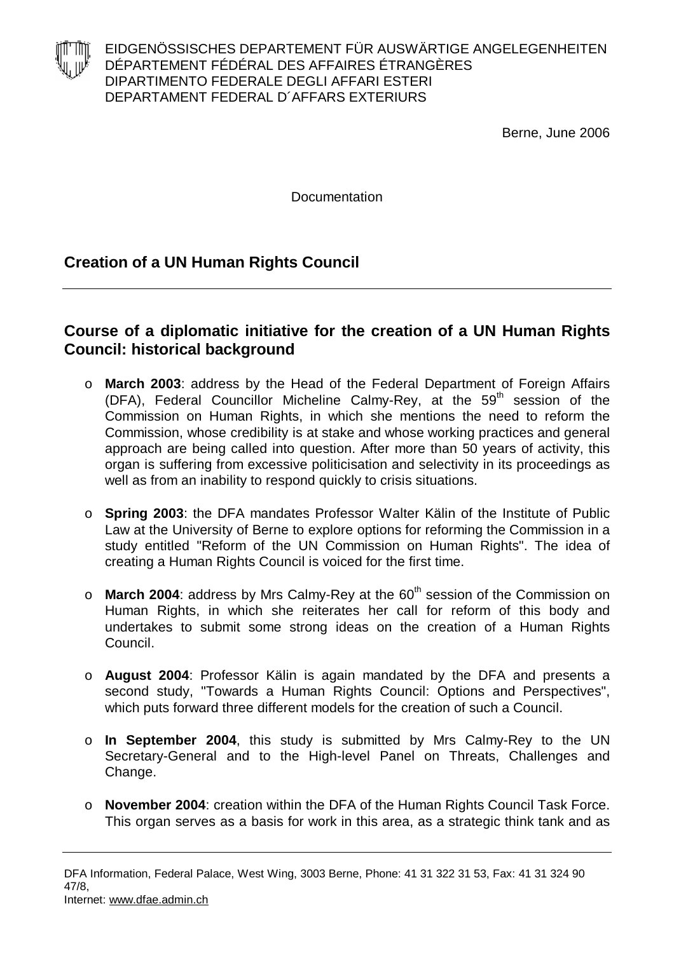

EIDGENÖSSISCHES DEPARTEMENT FÜR AUSWÄRTIGE ANGELEGENHEITEN DÉPARTEMENT FÉDÉRAL DES AFFAIRES ÉTRANGÈRES DIPARTIMENTO FEDERALE DEGLI AFFARI ESTERI DEPARTAMENT FEDERAL D´AFFARS EXTERIURS

Berne, June 2006

**Documentation** 

## **Creation of a UN Human Rights Council**

## **Course of a diplomatic initiative for the creation of a UN Human Rights Council: historical background**

- o **March 2003**: address by the Head of the Federal Department of Foreign Affairs (DFA), Federal Councillor Micheline Calmy-Rey, at the  $59<sup>th</sup>$  session of the Commission on Human Rights, in which she mentions the need to reform the Commission, whose credibility is at stake and whose working practices and general approach are being called into question. After more than 50 years of activity, this organ is suffering from excessive politicisation and selectivity in its proceedings as well as from an inability to respond quickly to crisis situations.
- o **Spring 2003**: the DFA mandates Professor Walter Kälin of the Institute of Public Law at the University of Berne to explore options for reforming the Commission in a study entitled "Reform of the UN Commission on Human Rights". The idea of creating a Human Rights Council is voiced for the first time.
- o **March 2004**: address by Mrs Calmy-Rey at the 60<sup>th</sup> session of the Commission on Human Rights, in which she reiterates her call for reform of this body and undertakes to submit some strong ideas on the creation of a Human Rights Council.
- o **August 2004**: Professor Kälin is again mandated by the DFA and presents a second study, "Towards a Human Rights Council: Options and Perspectives", which puts forward three different models for the creation of such a Council.
- o **In September 2004**, this study is submitted by Mrs Calmy-Rey to the UN Secretary-General and to the High-level Panel on Threats, Challenges and Change.
- o **November 2004**: creation within the DFA of the Human Rights Council Task Force. This organ serves as a basis for work in this area, as a strategic think tank and as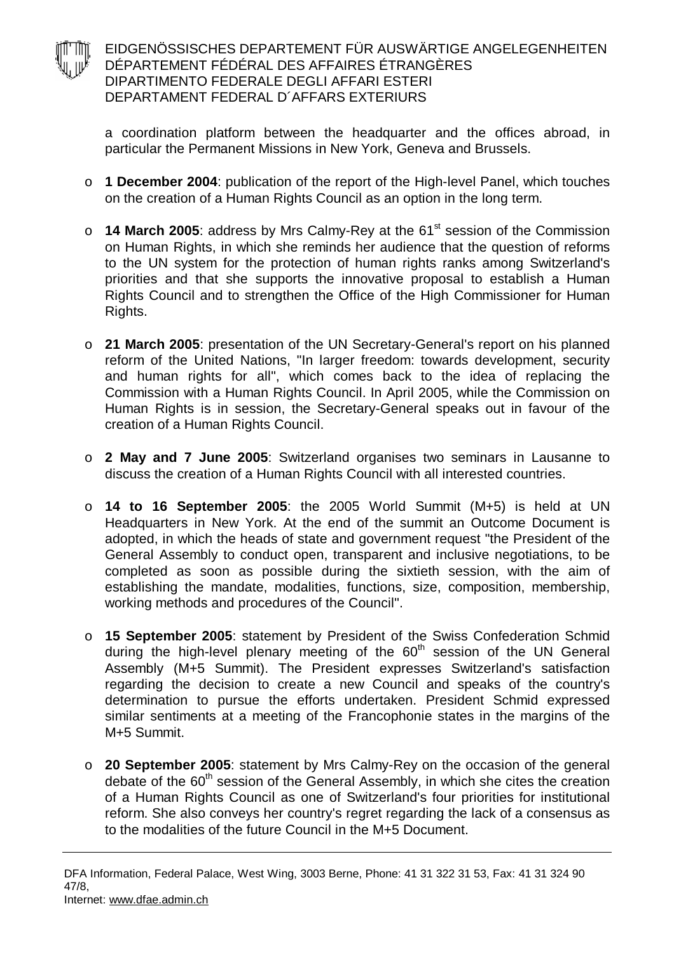## EIDGENÖSSISCHES DEPARTEMENT FÜR AUSWÄRTIGE ANGELEGENHEITEN DÉPARTEMENT FÉDÉRAL DES AFFAIRES ÉTRANGÈRES DIPARTIMENTO FEDERALE DEGLI AFFARI ESTERI DEPARTAMENT FEDERAL D´AFFARS EXTERIURS

a coordination platform between the headquarter and the offices abroad, in particular the Permanent Missions in New York, Geneva and Brussels.

- o **1 December 2004**: publication of the report of the High-level Panel, which touches on the creation of a Human Rights Council as an option in the long term.
- o **14 March 2005**: address by Mrs Calmy-Rey at the 61st session of the Commission on Human Rights, in which she reminds her audience that the question of reforms to the UN system for the protection of human rights ranks among Switzerland's priorities and that she supports the innovative proposal to establish a Human Rights Council and to strengthen the Office of the High Commissioner for Human Rights.
- o **21 March 2005**: presentation of the UN Secretary-General's report on his planned reform of the United Nations, "In larger freedom: towards development, security and human rights for all", which comes back to the idea of replacing the Commission with a Human Rights Council. In April 2005, while the Commission on Human Rights is in session, the Secretary-General speaks out in favour of the creation of a Human Rights Council.
- o **2 May and 7 June 2005**: Switzerland organises two seminars in Lausanne to discuss the creation of a Human Rights Council with all interested countries.
- o **14 to 16 September 2005**: the 2005 World Summit (M+5) is held at UN Headquarters in New York. At the end of the summit an Outcome Document is adopted, in which the heads of state and government request "the President of the General Assembly to conduct open, transparent and inclusive negotiations, to be completed as soon as possible during the sixtieth session, with the aim of establishing the mandate, modalities, functions, size, composition, membership, working methods and procedures of the Council".
- o **15 September 2005**: statement by President of the Swiss Confederation Schmid during the high-level plenary meeting of the 60<sup>th</sup> session of the UN General Assembly (M+5 Summit). The President expresses Switzerland's satisfaction regarding the decision to create a new Council and speaks of the country's determination to pursue the efforts undertaken. President Schmid expressed similar sentiments at a meeting of the Francophonie states in the margins of the M+5 Summit.
- o **20 September 2005**: statement by Mrs Calmy-Rey on the occasion of the general debate of the  $60<sup>th</sup>$  session of the General Assembly, in which she cites the creation of a Human Rights Council as one of Switzerland's four priorities for institutional reform. She also conveys her country's regret regarding the lack of a consensus as to the modalities of the future Council in the M+5 Document.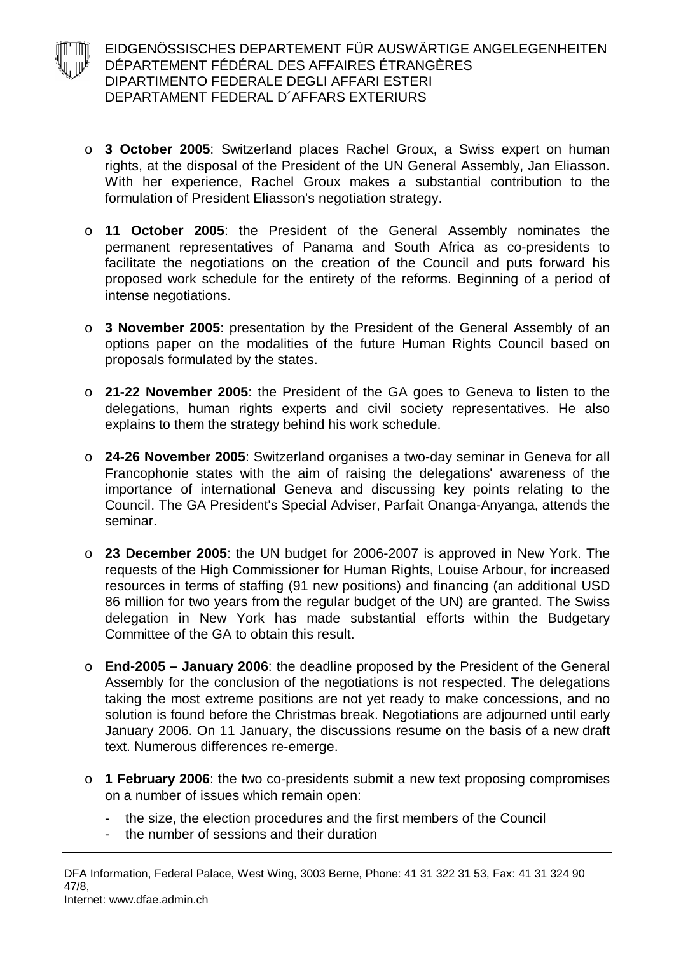- EIDGENÖSSISCHES DEPARTEMENT FÜR AUSWÄRTIGE ANGELEGENHEITEN DÉPARTEMENT FÉDÉRAL DES AFFAIRES ÉTRANGÈRES DIPARTIMENTO FEDERALE DEGLI AFFARI ESTERI DEPARTAMENT FEDERAL D´AFFARS EXTERIURS
	- o **3 October 2005**: Switzerland places Rachel Groux, a Swiss expert on human rights, at the disposal of the President of the UN General Assembly, Jan Eliasson. With her experience, Rachel Groux makes a substantial contribution to the formulation of President Eliasson's negotiation strategy.
	- o **11 October 2005**: the President of the General Assembly nominates the permanent representatives of Panama and South Africa as co-presidents to facilitate the negotiations on the creation of the Council and puts forward his proposed work schedule for the entirety of the reforms. Beginning of a period of intense negotiations.
	- o **3 November 2005**: presentation by the President of the General Assembly of an options paper on the modalities of the future Human Rights Council based on proposals formulated by the states.
	- o **21-22 November 2005**: the President of the GA goes to Geneva to listen to the delegations, human rights experts and civil society representatives. He also explains to them the strategy behind his work schedule.
	- o **24-26 November 2005**: Switzerland organises a two-day seminar in Geneva for all Francophonie states with the aim of raising the delegations' awareness of the importance of international Geneva and discussing key points relating to the Council. The GA President's Special Adviser, Parfait Onanga-Anyanga, attends the seminar.
	- o **23 December 2005**: the UN budget for 2006-2007 is approved in New York. The requests of the High Commissioner for Human Rights, Louise Arbour, for increased resources in terms of staffing (91 new positions) and financing (an additional USD 86 million for two years from the regular budget of the UN) are granted. The Swiss delegation in New York has made substantial efforts within the Budgetary Committee of the GA to obtain this result.
	- o **End-2005 – January 2006**: the deadline proposed by the President of the General Assembly for the conclusion of the negotiations is not respected. The delegations taking the most extreme positions are not yet ready to make concessions, and no solution is found before the Christmas break. Negotiations are adjourned until early January 2006. On 11 January, the discussions resume on the basis of a new draft text. Numerous differences re-emerge.
	- o **1 February 2006**: the two co-presidents submit a new text proposing compromises on a number of issues which remain open:
		- the size, the election procedures and the first members of the Council
		- the number of sessions and their duration